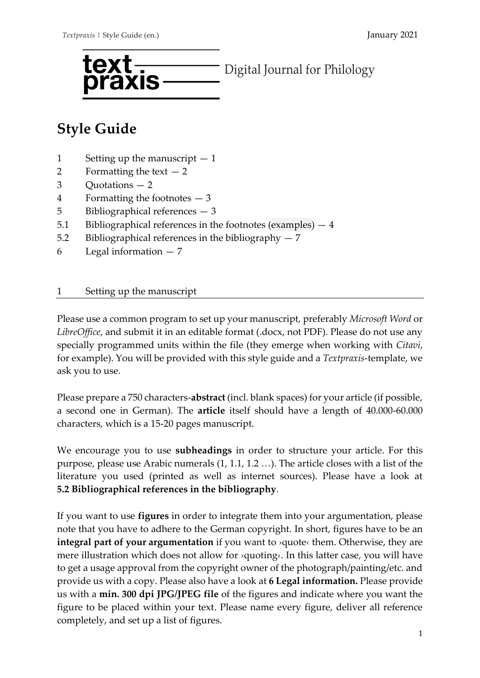

# **Style Guide**

- 1 Setting up the manuscript  $-1$
- 2 Formatting the text  $-2$
- 3 Quotations 2
- 4 Formatting the footnotes 3
- 5 Bibliographical references 3
- 5.1 Bibliographical references in the footnotes (examples) 4
- 5.2 Bibliographical references in the bibliography 7
- 6 Legal information 7

# 1 Setting up the manuscript

Please use a common program to set up your manuscript, preferably *Microsoft Word* or *LibreOffice*, and submit it in an editable format (.docx, not PDF). Please do not use any specially programmed units within the file (they emerge when working with *Citavi*, for example). You will be provided with this style guide and a *Textpraxis*-template, we ask you to use.

Please prepare a 750 characters-**abstract** (incl. blank spaces) for your article (if possible, a second one in German). The **article** itself should have a length of 40.000-60.000 characters, which is a 15-20 pages manuscript.

We encourage you to use **subheadings** in order to structure your article. For this purpose, please use Arabic numerals (1, 1.1, 1.2 …). The article closes with a list of the literature you used (printed as well as internet sources). Please have a look at **5.2 Bibliographical references in the bibliography**.

If you want to use **figures** in order to integrate them into your argumentation, please note that you have to adhere to the German copyright. In short, figures have to be an **integral part of your argumentation** if you want to >quote< them. Otherwise, they are mere illustration which does not allow for ›quoting‹. In this latter case, you will have to get a usage approval from the copyright owner of the photograph/painting/etc. and provide us with a copy. Please also have a look at **6 Legal information.** Please provide us with a **min. 300 dpi JPG/JPEG file** of the figures and indicate where you want the figure to be placed within your text. Please name every figure, deliver all reference completely, and set up a list of figures.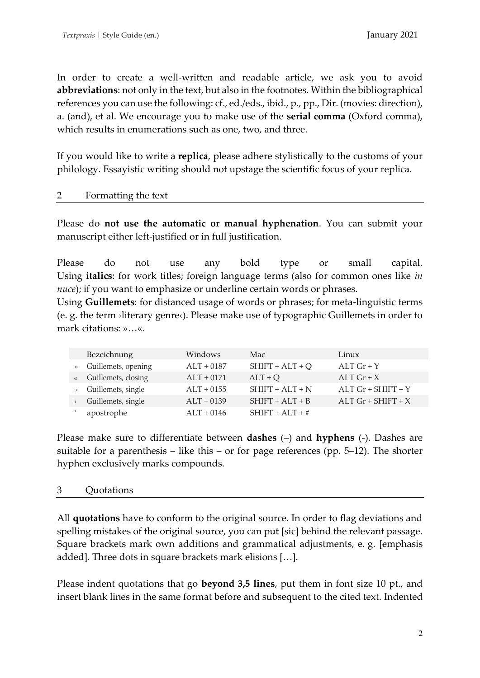In order to create a well-written and readable article, we ask you to avoid **abbreviations**: not only in the text, but also in the footnotes. Within the bibliographical references you can use the following: cf., ed./eds., ibid., p., pp., Dir. (movies: direction), a. (and), et al. We encourage you to make use of the **serial comma** (Oxford comma), which results in enumerations such as one, two, and three.

If you would like to write a **replica**, please adhere stylistically to the customs of your philology. Essayistic writing should not upstage the scientific focus of your replica.

# 2 Formatting the text

Please do **not use the automatic or manual hyphenation**. You can submit your manuscript either left-justified or in full justification.

Please do not use any bold type or small capital. Using **italics**: for work titles; foreign language terms (also for common ones like *in nuce*); if you want to emphasize or underline certain words or phrases.

Using **Guillemets**: for distanced usage of words or phrases; for meta-linguistic terms (e. g. the term ›literary genre‹). Please make use of typographic Guillemets in order to mark citations: »…«.

| Bezeichnung           | Windows      | Mac               | Linux                |
|-----------------------|--------------|-------------------|----------------------|
| » Guillemets, opening | $ALT + 0187$ | $SHIFT + ALT + Q$ | $ALT$ Gr + Y         |
| « Guillemets, closing | $ALT + 0171$ | $ALT + Q$         | ALT $Gr + X$         |
| Guillemets, single    | $ALT + 0155$ | $SHIFT + ALT + N$ | $ALT$ Gr + SHIFT + Y |
| Guillemets, single    | $ALT + 0139$ | $SHIFT +ALT + B$  | ALT $Gr + SHIFT + X$ |
| apostrophe            | $ALT + 0146$ | $SHIFT + ALT + #$ |                      |

Please make sure to differentiate between **dashes** (–) and **hyphens** (-). Dashes are suitable for a parenthesis – like this – or for page references (pp. 5–12). The shorter hyphen exclusively marks compounds.

# 3 Quotations

All **quotations** have to conform to the original source. In order to flag deviations and spelling mistakes of the original source, you can put [sic] behind the relevant passage. Square brackets mark own additions and grammatical adjustments, e. g. [emphasis added]. Three dots in square brackets mark elisions […].

Please indent quotations that go **beyond 3,5 lines**, put them in font size 10 pt., and insert blank lines in the same format before and subsequent to the cited text. Indented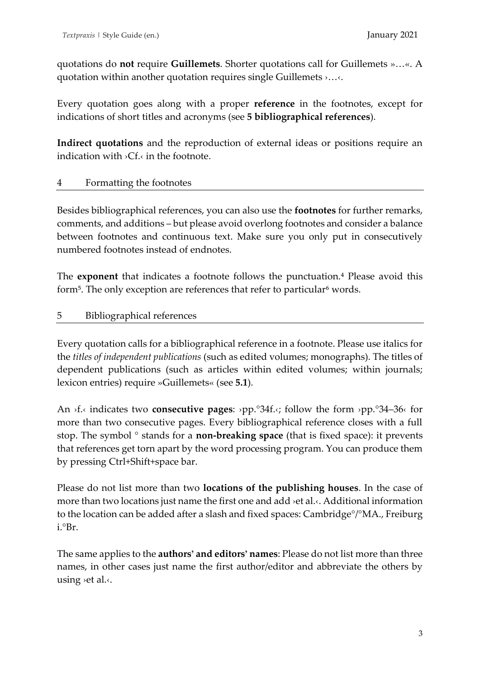quotations do **not** require **Guillemets**. Shorter quotations call for Guillemets »…«. A quotation within another quotation requires single Guillemets ›…‹.

Every quotation goes along with a proper **reference** in the footnotes, except for indications of short titles and acronyms (see **5 bibliographical references**).

**Indirect quotations** and the reproduction of external ideas or positions require an indication with ›Cf.‹ in the footnote.

# 4 Formatting the footnotes

Besides bibliographical references, you can also use the **footnotes** for further remarks, comments, and additions – but please avoid overlong footnotes and consider a balance between footnotes and continuous text. Make sure you only put in consecutively numbered footnotes instead of endnotes.

The **exponent** that indicates a footnote follows the punctuation.<sup>4</sup> Please avoid this form<sup>5</sup>. The only exception are references that refer to particular<sup>6</sup> words.

# 5 Bibliographical references

Every quotation calls for a bibliographical reference in a footnote. Please use italics for the *titles of independent publications* (such as edited volumes; monographs). The titles of dependent publications (such as articles within edited volumes; within journals; lexicon entries) require »Guillemets« (see **5.1**).

An ›f.‹ indicates two **consecutive pages**: ›pp.°34f.‹; follow the form ›pp.°34–36‹ for more than two consecutive pages. Every bibliographical reference closes with a full stop. The symbol ° stands for a **non-breaking space** (that is fixed space): it prevents that references get torn apart by the word processing program. You can produce them by pressing Ctrl+Shift+space bar.

Please do not list more than two **locations of the publishing houses**. In the case of more than two locations just name the first one and add ›et al.‹. Additional information to the location can be added after a slash and fixed spaces: Cambridge°/°MA., Freiburg i.°Br.

The same applies to the **authors' and editors' names**: Please do not list more than three names, in other cases just name the first author/editor and abbreviate the others by using ›et al.‹.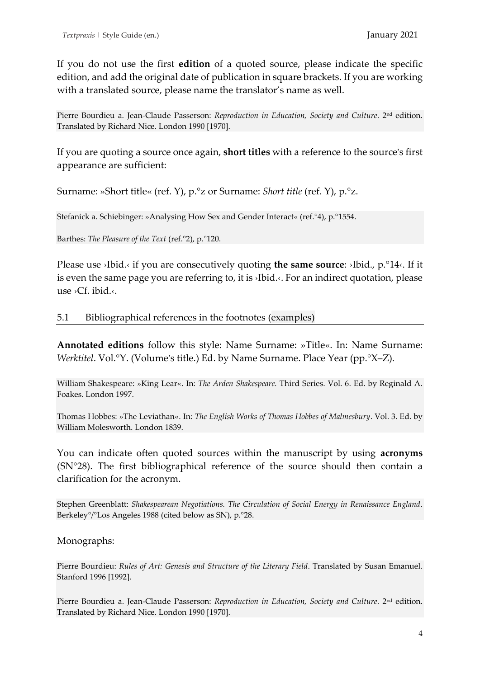If you do not use the first **edition** of a quoted source, please indicate the specific edition, and add the original date of publication in square brackets. If you are working with a translated source, please name the translator's name as well.

Pierre Bourdieu a. Jean-Claude Passerson: *Reproduction in Education, Society and Culture*. 2nd edition. Translated by Richard Nice. London 1990 [1970].

If you are quoting a source once again, **short titles** with a reference to the source's first appearance are sufficient:

Surname: »Short title« (ref. Y), p.°z or Surname: *Short title* (ref. Y), p.°z.

Stefanick a. Schiebinger: »Analysing How Sex and Gender Interact« (ref.°4), p.°1554.

Barthes: *The Pleasure of the Text* (ref.°2), p.°120.

Please use ›Ibid.‹ if you are consecutively quoting **the same source**: ›Ibid., p.°14‹. If it is even the same page you are referring to, it is ›Ibid.‹. For an indirect quotation, please use ›Cf. ibid.‹.

## 5.1 Bibliographical references in the footnotes (examples)

**Annotated editions** follow this style: Name Surname: »Title«. In: Name Surname: *Werktitel*. Vol.°Y. (Volume's title.) Ed. by Name Surname. Place Year (pp.°X–Z).

William Shakespeare: »King Lear«. In: *The Arden Shakespeare.* Third Series. Vol. 6. Ed. by Reginald A. Foakes. London 1997.

Thomas Hobbes: »The Leviathan«. In: *The English Works of Thomas Hobbes of Malmesbury*. Vol. 3. Ed. by William Molesworth. London 1839.

You can indicate often quoted sources within the manuscript by using **acronyms** (SN°28). The first bibliographical reference of the source should then contain a clarification for the acronym.

Stephen Greenblatt: *Shakespearean Negotiations. The Circulation of Social Energy in Renaissance England*. Berkeley°/°Los Angeles 1988 (cited below as SN), p.°28.

Monographs:

Pierre Bourdieu: *Rules of Art: Genesis and Structure of the Literary Field*. Translated by Susan Emanuel. Stanford 1996 [1992].

Pierre Bourdieu a. Jean-Claude Passerson: *Reproduction in Education, Society and Culture*. 2<sup>nd</sup> edition. Translated by Richard Nice. London 1990 [1970].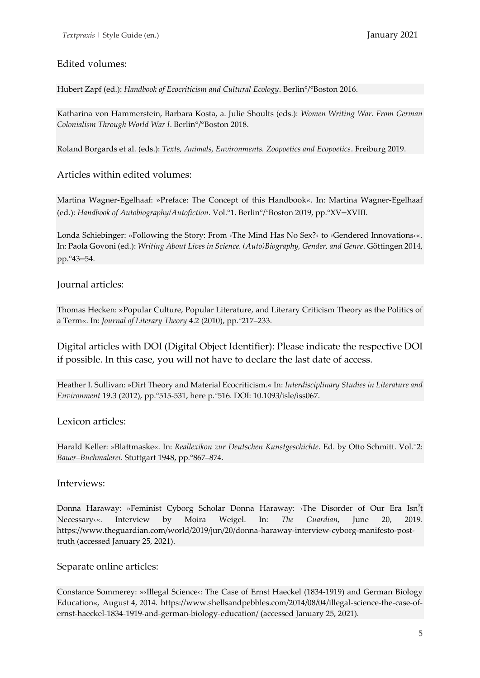### Edited volumes:

Hubert Zapf (ed.): *Handbook of Ecocriticism and Cultural Ecology*. Berlin°/°Boston 2016.

Katharina von Hammerstein, Barbara Kosta, a. Julie Shoults (eds.): *Women Writing War. From German Colonialism Through World War I*. Berlin°/°Boston 2018.

Roland Borgards et al. (eds.): *Texts, Animals, Environments. Zoopoetics and Ecopoetics*. Freiburg 2019.

#### Articles within edited volumes:

Martina Wagner-Egelhaaf: »Preface: The Concept of this Handbook«. In: Martina Wagner-Egelhaaf (ed.): *Handbook of Autobiography/Autofiction*. Vol.°1. Berlin°/°Boston 2019, pp.°XV–XVIII.

Londa Schiebinger: »Following the Story: From ›The Mind Has No Sex?‹ to ›Gendered Innovations‹«. In: Paola Govoni (ed.): *Writing About Lives in Science. (Auto)Biography, Gender, and Genre*. Göttingen 2014, pp.°43–54.

#### Journal articles:

Thomas Hecken: »Popular Culture, Popular Literature, and Literary Criticism Theory as the Politics of a Term«. In: *Journal of Literary Theory* 4.2 (2010), pp.°217–233.

Digital articles with DOI (Digital Object Identifier): Please indicate the respective DOI if possible. In this case, you will not have to declare the last date of access.

Heather I. Sullivan: »Dirt Theory and Material Ecocriticism.« In: *Interdisciplinary Studies in Literature and Environment* 19.3 (2012), pp.°515-531, here p.°516. DOI: 10.1093/isle/iss067.

#### Lexicon articles:

Harald Keller: »Blattmaske«. In: *Reallexikon zur Deutschen Kunstgeschichte*. Ed. by Otto Schmitt. Vol.°2: *Bauer–Buchmalerei*. Stuttgart 1948, pp.°867–874.

#### Interviews:

Donna Haraway: »Feminist Cyborg Scholar Donna Haraway: ›The Disorder of Our Era Isn't Necessary‹«. Interview by Moira Weigel. In: *The Guardian*, June 20, 2019. https://www.theguardian.com/world/2019/jun/20/donna-haraway-interview-cyborg-manifesto-posttruth (accessed January 25, 2021).

#### Separate online articles:

Constance Sommerey: »›Illegal Science‹: The Case of Ernst Haeckel (1834-1919) and German Biology Education«, August 4, 2014. https://www.shellsandpebbles.com/2014/08/04/illegal-science-the-case-ofernst-haeckel-1834-1919-and-german-biology-education/ (accessed January 25, 2021).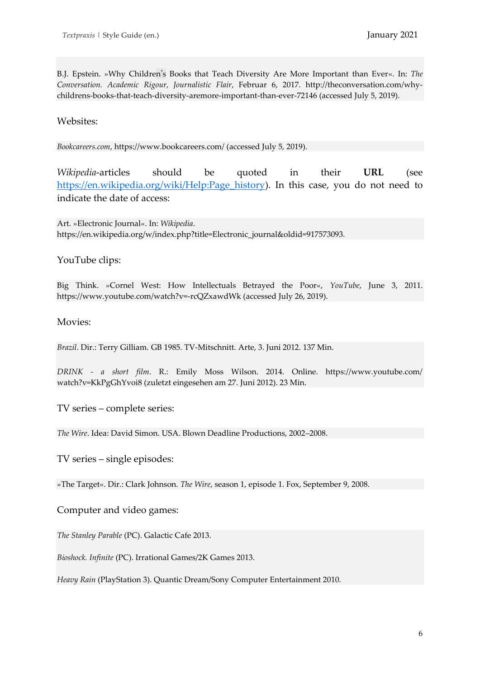B.J. Epstein. »Why Children's Books that Teach Diversity Are More Important than Ever«. In: *The Conversation. Academic Rigour, Journalistic Flair*, Februar 6, 2017. http://theconversation.com/whychildrens-books-that-teach-diversity-aremore-important-than-ever-72146 (accessed July 5, 2019).

#### Websites:

*Bookcareers.com*, https://www.bookcareers.com/ (accessed July 5, 2019).

*Wikipedia*-articles should be quoted in their **URL** (see [https://en.wikipedia.org/wiki/Help:Page\\_history\)](https://en.wikipedia.org/wiki/Help:Page_history). In this case, you do not need to indicate the date of access:

Art. »Electronic Journal«. In: *Wikipedia*. https://en.wikipedia.org/w/index.php?title=Electronic\_journal&oldid=917573093.

#### YouTube clips:

Big Think. »Cornel West: How Intellectuals Betrayed the Poor«, *YouTube*, June 3, 2011. https://www.youtube.com/watch?v=-rcQZxawdWk (accessed July 26, 2019).

#### Movies:

*Brazil*. Dir.: Terry Gilliam. GB 1985. TV-Mitschnitt. Arte, 3. Juni 2012. 137 Min.

*DRINK - a short film*. R.: Emily Moss Wilson. 2014. Online. https://www.youtube.com/ watch?v=KkPgGhYvoi8 (zuletzt eingesehen am 27. Juni 2012). 23 Min.

TV series – complete series:

*The Wire*. Idea: David Simon. USA. Blown Deadline Productions, 2002–2008.

TV series – single episodes:

»The Target«. Dir.: Clark Johnson. *The Wire*, season 1, episode 1. Fox, September 9, 2008.

Computer and video games:

*The Stanley Parable* (PC). Galactic Cafe 2013.

*Bioshock. Infinite* (PC). Irrational Games/2K Games 2013.

*Heavy Rain* (PlayStation 3). Quantic Dream/Sony Computer Entertainment 2010.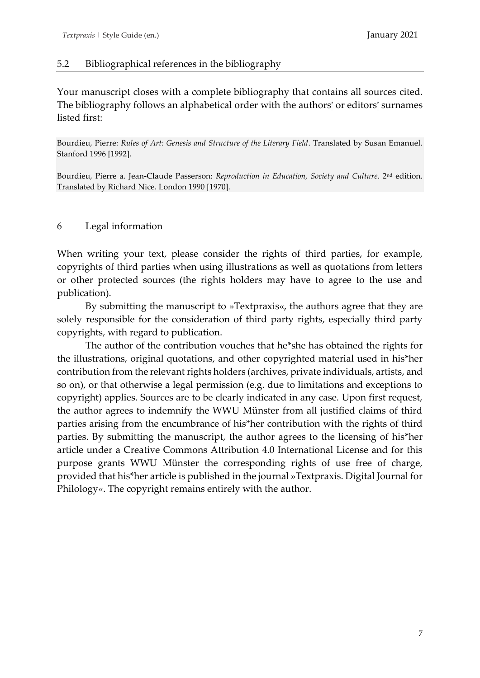## 5.2 Bibliographical references in the bibliography

Your manuscript closes with a complete bibliography that contains all sources cited. The bibliography follows an alphabetical order with the authors' or editors' surnames listed first:

Bourdieu, Pierre: *Rules of Art: Genesis and Structure of the Literary Field*. Translated by Susan Emanuel. Stanford 1996 [1992].

Bourdieu, Pierre a. Jean-Claude Passerson: *Reproduction in Education, Society and Culture*. 2nd edition. Translated by Richard Nice. London 1990 [1970].

#### 6 Legal information

When writing your text, please consider the rights of third parties, for example, copyrights of third parties when using illustrations as well as quotations from letters or other protected sources (the rights holders may have to agree to the use and publication).

By submitting the manuscript to »Textpraxis«, the authors agree that they are solely responsible for the consideration of third party rights, especially third party copyrights, with regard to publication.

The author of the contribution vouches that he\*she has obtained the rights for the illustrations, original quotations, and other copyrighted material used in his\*her contribution from the relevant rights holders (archives, private individuals, artists, and so on), or that otherwise a legal permission (e.g. due to limitations and exceptions to copyright) applies. Sources are to be clearly indicated in any case. Upon first request, the author agrees to indemnify the WWU Münster from all justified claims of third parties arising from the encumbrance of his\*her contribution with the rights of third parties. By submitting the manuscript, the author agrees to the licensing of his\*her article under a Creative Commons Attribution 4.0 International License and for this purpose grants WWU Münster the corresponding rights of use free of charge, provided that his\*her article is published in the journal »Textpraxis. Digital Journal for Philology«. The copyright remains entirely with the author.